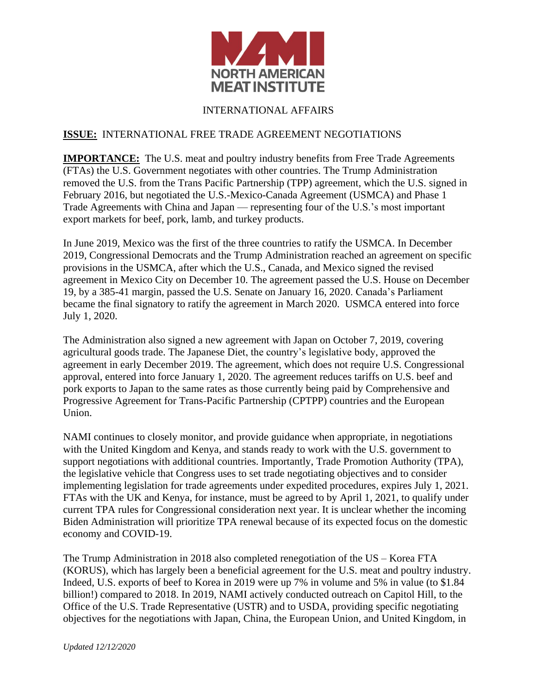

## INTERNATIONAL AFFAIRS

## **ISSUE:** INTERNATIONAL FREE TRADE AGREEMENT NEGOTIATIONS

**IMPORTANCE:** The U.S. meat and poultry industry benefits from Free Trade Agreements (FTAs) the U.S. Government negotiates with other countries. The Trump Administration removed the U.S. from the Trans Pacific Partnership (TPP) agreement, which the U.S. signed in February 2016, but negotiated the U.S.-Mexico-Canada Agreement (USMCA) and Phase 1 Trade Agreements with China and Japan — representing four of the U.S.'s most important export markets for beef, pork, lamb, and turkey products.

In June 2019, Mexico was the first of the three countries to ratify the USMCA. In December 2019, Congressional Democrats and the Trump Administration reached an agreement on specific provisions in the USMCA, after which the U.S., Canada, and Mexico signed the revised agreement in Mexico City on December 10. The agreement passed the U.S. House on December 19, by a 385-41 margin, passed the U.S. Senate on January 16, 2020. Canada's Parliament became the final signatory to ratify the agreement in March 2020. USMCA entered into force July 1, 2020.

The Administration also signed a new agreement with Japan on October 7, 2019, covering agricultural goods trade. The Japanese Diet, the country's legislative body, approved the agreement in early December 2019. The agreement, which does not require U.S. Congressional approval, entered into force January 1, 2020. The agreement reduces tariffs on U.S. beef and pork exports to Japan to the same rates as those currently being paid by Comprehensive and Progressive Agreement for Trans-Pacific Partnership (CPTPP) countries and the European Union.

NAMI continues to closely monitor, and provide guidance when appropriate, in negotiations with the United Kingdom and Kenya, and stands ready to work with the U.S. government to support negotiations with additional countries. Importantly, Trade Promotion Authority (TPA), the legislative vehicle that Congress uses to set trade negotiating objectives and to consider implementing legislation for trade agreements under expedited procedures, expires July 1, 2021. FTAs with the UK and Kenya, for instance, must be agreed to by April 1, 2021, to qualify under current TPA rules for Congressional consideration next year. It is unclear whether the incoming Biden Administration will prioritize TPA renewal because of its expected focus on the domestic economy and COVID-19.

The Trump Administration in 2018 also completed renegotiation of the US – Korea FTA (KORUS), which has largely been a beneficial agreement for the U.S. meat and poultry industry. Indeed, U.S. exports of beef to Korea in 2019 were up 7% in volume and 5% in value (to \$1.84 billion!) compared to 2018. In 2019, NAMI actively conducted outreach on Capitol Hill, to the Office of the U.S. Trade Representative (USTR) and to USDA, providing specific negotiating objectives for the negotiations with Japan, China, the European Union, and United Kingdom, in